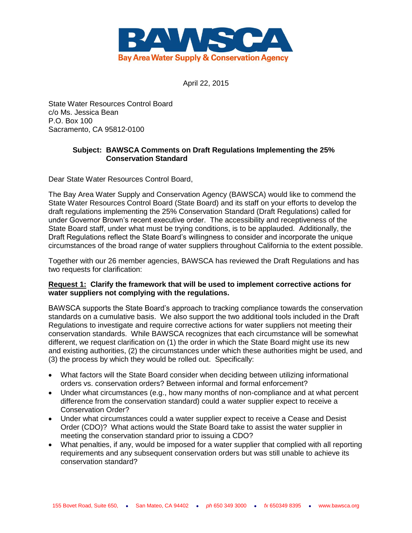

April 22, 2015

State Water Resources Control Board c/o Ms. Jessica Bean P.O. Box 100 Sacramento, CA 95812-0100

## **Subject: BAWSCA Comments on Draft Regulations Implementing the 25% Conservation Standard**

Dear State Water Resources Control Board,

The Bay Area Water Supply and Conservation Agency (BAWSCA) would like to commend the State Water Resources Control Board (State Board) and its staff on your efforts to develop the draft regulations implementing the 25% Conservation Standard (Draft Regulations) called for under Governor Brown's recent executive order. The accessibility and receptiveness of the State Board staff, under what must be trying conditions, is to be applauded. Additionally, the Draft Regulations reflect the State Board's willingness to consider and incorporate the unique circumstances of the broad range of water suppliers throughout California to the extent possible.

Together with our 26 member agencies, BAWSCA has reviewed the Draft Regulations and has two requests for clarification:

## **Request 1: Clarify the framework that will be used to implement corrective actions for water suppliers not complying with the regulations.**

BAWSCA supports the State Board's approach to tracking compliance towards the conservation standards on a cumulative basis. We also support the two additional tools included in the Draft Regulations to investigate and require corrective actions for water suppliers not meeting their conservation standards. While BAWSCA recognizes that each circumstance will be somewhat different, we request clarification on (1) the order in which the State Board might use its new and existing authorities, (2) the circumstances under which these authorities might be used, and (3) the process by which they would be rolled out. Specifically:

- What factors will the State Board consider when deciding between utilizing informational orders vs. conservation orders? Between informal and formal enforcement?
- Under what circumstances (e.g., how many months of non-compliance and at what percent difference from the conservation standard) could a water supplier expect to receive a Conservation Order?
- Under what circumstances could a water supplier expect to receive a Cease and Desist Order (CDO)? What actions would the State Board take to assist the water supplier in meeting the conservation standard prior to issuing a CDO?
- What penalties, if any, would be imposed for a water supplier that complied with all reporting requirements and any subsequent conservation orders but was still unable to achieve its conservation standard?